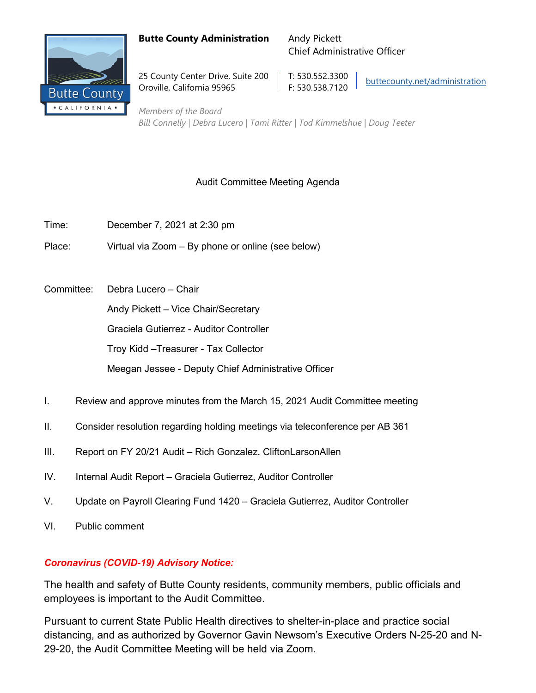### **Butte County Administration** Andy Pickett



25 County Center Drive, Suite 200 | T: 530.552.3300 Oroville, California 95965 F: 530.538.7120

Chief Administrative Officer

[buttecounty.net/administration](http://www.buttecounty.net/administration/Home.aspx)

*Members of the Board Bill Connelly | Debra Lucero | Tami Ritter | Tod Kimmelshue | Doug Teeter*

## Audit Committee Meeting Agenda

- Time: December 7, 2021 at 2:30 pm
- Place: Virtual via Zoom By phone or online (see below)
- Committee: Debra Lucero Chair

Andy Pickett – Vice Chair/Secretary

Graciela Gutierrez - Auditor Controller

Troy Kidd –Treasurer - Tax Collector

Meegan Jessee - Deputy Chief Administrative Officer

- I. Review and approve minutes from the March 15, 2021 Audit Committee meeting
- II. Consider resolution regarding holding meetings via teleconference per AB 361
- III. Report on FY 20/21 Audit Rich Gonzalez. CliftonLarsonAllen
- IV. Internal Audit Report Graciela Gutierrez, Auditor Controller
- V. Update on Payroll Clearing Fund 1420 Graciela Gutierrez, Auditor Controller
- VI. Public comment

## *Coronavirus (COVID-19) Advisory Notice:*

The health and safety of Butte County residents, community members, public officials and employees is important to the Audit Committee.

Pursuant to current State Public Health directives to shelter-in-place and practice social distancing, and as authorized by Governor Gavin Newsom's Executive Orders N-25-20 and N-29-20, the Audit Committee Meeting will be held via Zoom.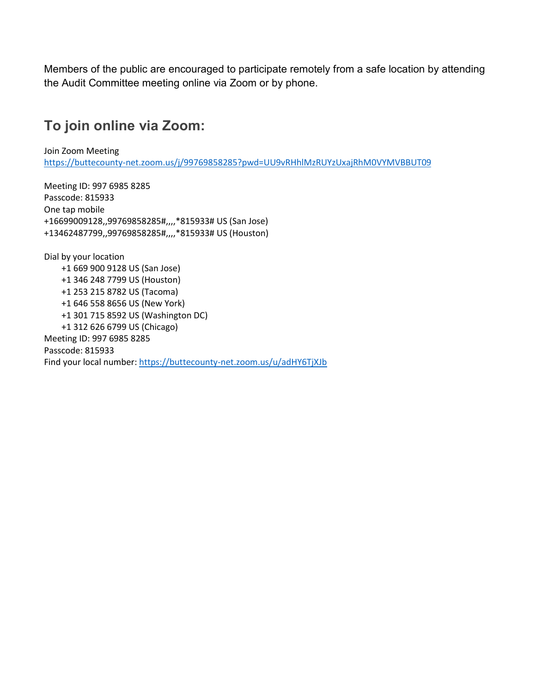Members of the public are encouraged to participate remotely from a safe location by attending the Audit Committee meeting online via Zoom or by phone.

# **To join online via Zoom:**

Join Zoom Meeting <https://buttecounty-net.zoom.us/j/99769858285?pwd=UU9vRHhlMzRUYzUxajRhM0VYMVBBUT09>

Meeting ID: 997 6985 8285 Passcode: 815933 One tap mobile +16699009128,,99769858285#,,,,\*815933# US (San Jose) +13462487799,,99769858285#,,,,\*815933# US (Houston)

Dial by your location +1 669 900 9128 US (San Jose) +1 346 248 7799 US (Houston) +1 253 215 8782 US (Tacoma) +1 646 558 8656 US (New York) +1 301 715 8592 US (Washington DC) +1 312 626 6799 US (Chicago) Meeting ID: 997 6985 8285 Passcode: 815933 Find your local number:<https://buttecounty-net.zoom.us/u/adHY6TjXJb>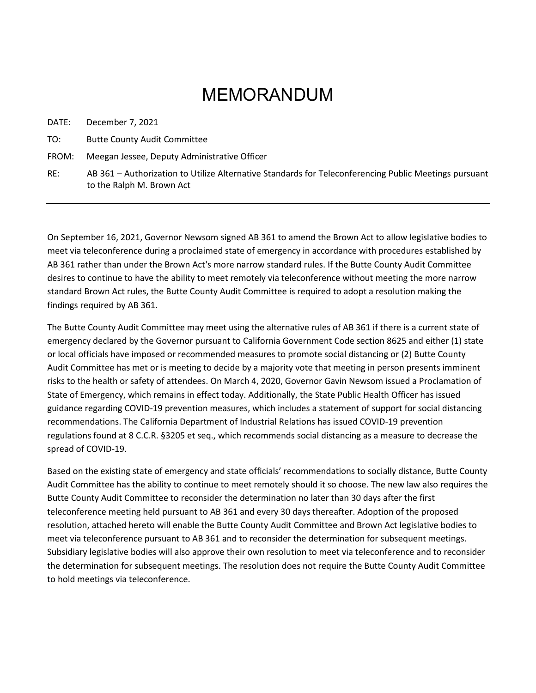# MEMORANDUM

DATE: December 7, 2021

TO: Butte County Audit Committee

FROM: Meegan Jessee, Deputy Administrative Officer

RE: AB 361 – Authorization to Utilize Alternative Standards for Teleconferencing Public Meetings pursuant to the Ralph M. Brown Act

On September 16, 2021, Governor Newsom signed AB 361 to amend the Brown Act to allow legislative bodies to meet via teleconference during a proclaimed state of emergency in accordance with procedures established by AB 361 rather than under the Brown Act's more narrow standard rules. If the Butte County Audit Committee desires to continue to have the ability to meet remotely via teleconference without meeting the more narrow standard Brown Act rules, the Butte County Audit Committee is required to adopt a resolution making the findings required by AB 361.

The Butte County Audit Committee may meet using the alternative rules of AB 361 if there is a current state of emergency declared by the Governor pursuant to California Government Code section 8625 and either (1) state or local officials have imposed or recommended measures to promote social distancing or (2) Butte County Audit Committee has met or is meeting to decide by a majority vote that meeting in person presents imminent risks to the health or safety of attendees. On March 4, 2020, Governor Gavin Newsom issued a Proclamation of State of Emergency, which remains in effect today. Additionally, the State Public Health Officer has issued guidance regarding COVID-19 prevention measures, which includes a statement of support for social distancing recommendations. The California Department of Industrial Relations has issued COVID-19 prevention regulations found at 8 C.C.R. §3205 et seq., which recommends social distancing as a measure to decrease the spread of COVID-19.

Based on the existing state of emergency and state officials' recommendations to socially distance, Butte County Audit Committee has the ability to continue to meet remotely should it so choose. The new law also requires the Butte County Audit Committee to reconsider the determination no later than 30 days after the first teleconference meeting held pursuant to AB 361 and every 30 days thereafter. Adoption of the proposed resolution, attached hereto will enable the Butte County Audit Committee and Brown Act legislative bodies to meet via teleconference pursuant to AB 361 and to reconsider the determination for subsequent meetings. Subsidiary legislative bodies will also approve their own resolution to meet via teleconference and to reconsider the determination for subsequent meetings. The resolution does not require the Butte County Audit Committee to hold meetings via teleconference.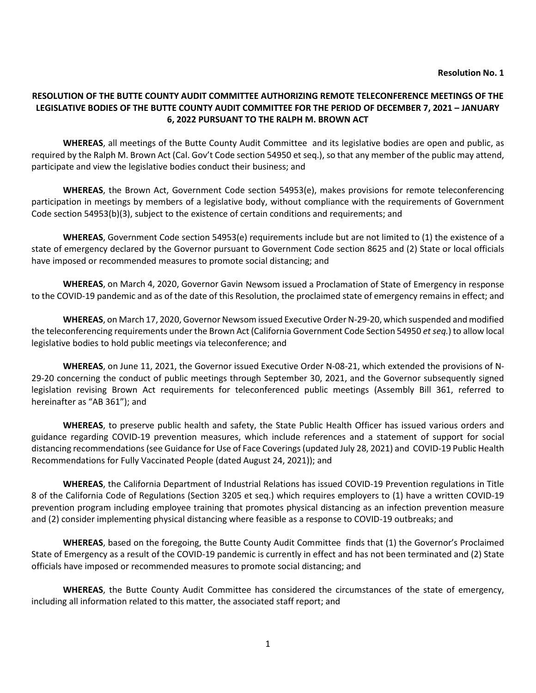#### **RESOLUTION OF THE BUTTE COUNTY AUDIT COMMITTEE AUTHORIZING REMOTE TELECONFERENCE MEETINGS OF THE LEGISLATIVE BODIES OF THE BUTTE COUNTY AUDIT COMMITTEE FOR THE PERIOD OF DECEMBER 7, 2021 – JANUARY 6, 2022 PURSUANT TO THE RALPH M. BROWN ACT**

**WHEREAS**, all meetings of the Butte County Audit Committee and its legislative bodies are open and public, as required by the Ralph M. Brown Act (Cal. Gov't Code section 54950 et seq.), so that any member of the public may attend, participate and view the legislative bodies conduct their business; and

**WHEREAS**, the Brown Act, Government Code section 54953(e), makes provisions for remote teleconferencing participation in meetings by members of a legislative body, without compliance with the requirements of Government Code section 54953(b)(3), subject to the existence of certain conditions and requirements; and

**WHEREAS**, Government Code section 54953(e) requirements include but are not limited to (1) the existence of a state of emergency declared by the Governor pursuant to Government Code section 8625 and (2) State or local officials have imposed or recommended measures to promote social distancing; and

**WHEREAS**, on March 4, 2020, Governor Gavin Newsom issued a Proclamation of State of Emergency in response to the COVID-19 pandemic and as of the date of this Resolution, the proclaimed state of emergency remains in effect; and

**WHEREAS**, on March 17, 2020, Governor Newsom issued Executive Order N-29-20, which suspended and modified the teleconferencing requirements under the Brown Act (California Government Code Section 54950 *et seq.*) to allow local legislative bodies to hold public meetings via teleconference; and

**WHEREAS**, on June 11, 2021, the Governor issued Executive Order N-08-21, which extended the provisions of N-29-20 concerning the conduct of public meetings through September 30, 2021, and the Governor subsequently signed legislation revising Brown Act requirements for teleconferenced public meetings (Assembly Bill 361, referred to hereinafter as "AB 361"); and

**WHEREAS**, to preserve public health and safety, the State Public Health Officer has issued various orders and guidance regarding COVID-19 prevention measures, which include references and a statement of support for social distancing recommendations (see Guidance for Use of Face Coverings (updated July 28, 2021) and COVID-19 Public Health Recommendations for Fully Vaccinated People (dated August 24, 2021)); and

**WHEREAS**, the California Department of Industrial Relations has issued COVID-19 Prevention regulations in Title 8 of the California Code of Regulations (Section 3205 et seq.) which requires employers to (1) have a written COVID-19 prevention program including employee training that promotes physical distancing as an infection prevention measure and (2) consider implementing physical distancing where feasible as a response to COVID-19 outbreaks; and

**WHEREAS**, based on the foregoing, the Butte County Audit Committee finds that (1) the Governor's Proclaimed State of Emergency as a result of the COVID-19 pandemic is currently in effect and has not been terminated and (2) State officials have imposed or recommended measures to promote social distancing; and

**WHEREAS**, the Butte County Audit Committee has considered the circumstances of the state of emergency, including all information related to this matter, the associated staff report; and